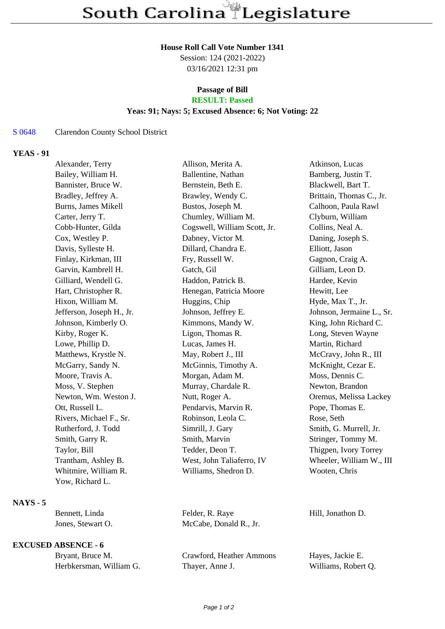#### **House Roll Call Vote Number 1341**

Session: 124 (2021-2022) 03/16/2021 12:31 pm

# **Passage of Bill**

# **RESULT: Passed**

## **Yeas: 91; Nays: 5; Excused Absence: 6; Not Voting: 22**

### S 0648 Clarendon County School District

## **YEAS - 91**

| Alexander, Terry          | Allison, Merita A.           | Atkinson, Lucas           |
|---------------------------|------------------------------|---------------------------|
| Bailey, William H.        | Ballentine, Nathan           | Bamberg, Justin T.        |
| Bannister, Bruce W.       | Bernstein, Beth E.           | Blackwell, Bart T.        |
| Bradley, Jeffrey A.       | Brawley, Wendy C.            | Brittain, Thomas C., Jr.  |
| Burns, James Mikell       | Bustos, Joseph M.            | Calhoon, Paula Rawl       |
| Carter, Jerry T.          | Chumley, William M.          | Clyburn, William          |
| Cobb-Hunter, Gilda        | Cogswell, William Scott, Jr. | Collins, Neal A.          |
| Cox, Westley P.           | Dabney, Victor M.            | Daning, Joseph S.         |
| Davis, Sylleste H.        | Dillard, Chandra E.          | Elliott, Jason            |
| Finlay, Kirkman, III      | Fry, Russell W.              | Gagnon, Craig A.          |
| Garvin, Kambrell H.       | Gatch, Gil                   | Gilliam, Leon D.          |
| Gilliard, Wendell G.      | Haddon, Patrick B.           | Hardee, Kevin             |
| Hart, Christopher R.      | Henegan, Patricia Moore      | Hewitt, Lee               |
| Hixon, William M.         | Huggins, Chip                | Hyde, Max T., Jr.         |
| Jefferson, Joseph H., Jr. | Johnson, Jeffrey E.          | Johnson, Jermaine L., Sr. |
| Johnson, Kimberly O.      | Kimmons, Mandy W.            | King, John Richard C.     |
| Kirby, Roger K.           | Ligon, Thomas R.             | Long, Steven Wayne        |
| Lowe, Phillip D.          | Lucas, James H.              | Martin, Richard           |
| Matthews, Krystle N.      | May, Robert J., III          | McCravy, John R., III     |
| McGarry, Sandy N.         | McGinnis, Timothy A.         | McKnight, Cezar E.        |
| Moore, Travis A.          | Morgan, Adam M.              | Moss, Dennis C.           |
| Moss, V. Stephen          | Murray, Chardale R.          | Newton, Brandon           |
| Newton, Wm. Weston J.     | Nutt, Roger A.               | Oremus, Melissa Lackey    |
| Ott, Russell L.           | Pendarvis, Marvin R.         | Pope, Thomas E.           |
| Rivers, Michael F., Sr.   | Robinson, Leola C.           | Rose, Seth                |
| Rutherford, J. Todd       | Simrill, J. Gary             | Smith, G. Murrell, Jr.    |
| Smith, Garry R.           | Smith, Marvin                | Stringer, Tommy M.        |
| Taylor, Bill              | Tedder, Deon T.              | Thigpen, Ivory Torrey     |
| Trantham, Ashley B.       | West, John Taliaferro, IV    | Wheeler, William W., III  |
| Whitmire, William R.      | Williams, Shedron D.         | Wooten, Chris             |
| Yow, Richard L.           |                              |                           |
|                           |                              |                           |

### **NAYS - 5**

| Bennett, Linda    | Felder, R. Raye        | Hill. Jonathon D. |
|-------------------|------------------------|-------------------|
| Jones, Stewart O. | McCabe, Donald R., Jr. |                   |

### **EXCUSED ABSENCE - 6**

| Bryant, Bruce M.        |  |
|-------------------------|--|
| Herbkersman, William G. |  |

Crawford, Heather Ammons Hayes, Jackie E. Thayer, Anne J. Williams, Robert Q.